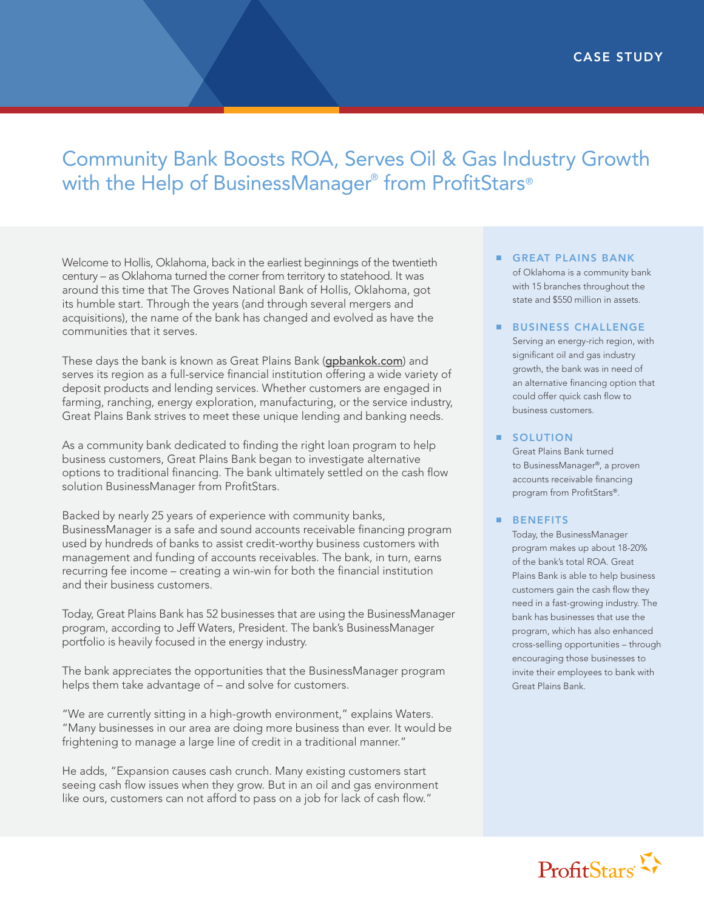## Community Bank Boosts ROA, Serves Oil & Gas Industry Growth with the Help of BusinessManager® from ProfitStars®

Welcome to Hollis, Oklahoma, back in the earliest beginnings of the twentieth century – as Oklahoma turned the corner from territory to statehood. It was around this time that The Groves National Bank of Hollis, Oklahoma, got its humble start. Through the years (and through several mergers and acquisitions), the name of the bank has changed and evolved as have the communities that it serves.

These days the bank is known as Great Plains Bank ([gpbankok.com](http://www.gpbankok.com)) and serves its region as a full-service financial institution offering a wide variety of deposit products and lending services. Whether customers are engaged in farming, ranching, energy exploration, manufacturing, or the service industry, Great Plains Bank strives to meet these unique lending and banking needs.

As a community bank dedicated to finding the right loan program to help business customers, Great Plains Bank began to investigate alternative options to traditional financing. The bank ultimately settled on the cash flow solution BusinessManager from ProfitStars.

Backed by nearly 25 years of experience with community banks, BusinessManager is a safe and sound accounts receivable financing program used by hundreds of banks to assist credit-worthy business customers with management and funding of accounts receivables. The bank, in turn, earns recurring fee income – creating a win-win for both the financial institution and their business customers.

Today, Great Plains Bank has 52 businesses that are using the BusinessManager program, according to Jeff Waters, President. The bank's BusinessManager portfolio is heavily focused in the energy industry.

The bank appreciates the opportunities that the BusinessManager program helps them take advantage of – and solve for customers.

"We are currently sitting in a high-growth environment," explains Waters. "Many businesses in our area are doing more business than ever. It would be frightening to manage a large line of credit in a traditional manner."

He adds, "Expansion causes cash crunch. Many existing customers start seeing cash flow issues when they grow. But in an oil and gas environment like ours, customers can not afford to pass on a job for lack of cash flow."

- GREAT PLAINS BANK of Oklahoma is a community bank with 15 branches throughout the state and \$550 million in assets.
- BUSINESS CHALLENGE

Serving an energy-rich region, with significant oil and gas industry growth, the bank was in need of an alternative financing option that could offer quick cash flow to business customers.

**SOLUTION** 

Great Plains Bank turned to BusinessManager®, a proven accounts receivable financing program from ProfitStars®.

## ■ BENEFITS

Today, the BusinessManager program makes up about 18-20% of the bank's total ROA. Great Plains Bank is able to help business customers gain the cash flow they need in a fast-growing industry. The bank has businesses that use the program, which has also enhanced cross-selling opportunities – through encouraging those businesses to invite their employees to bank with Great Plains Bank.